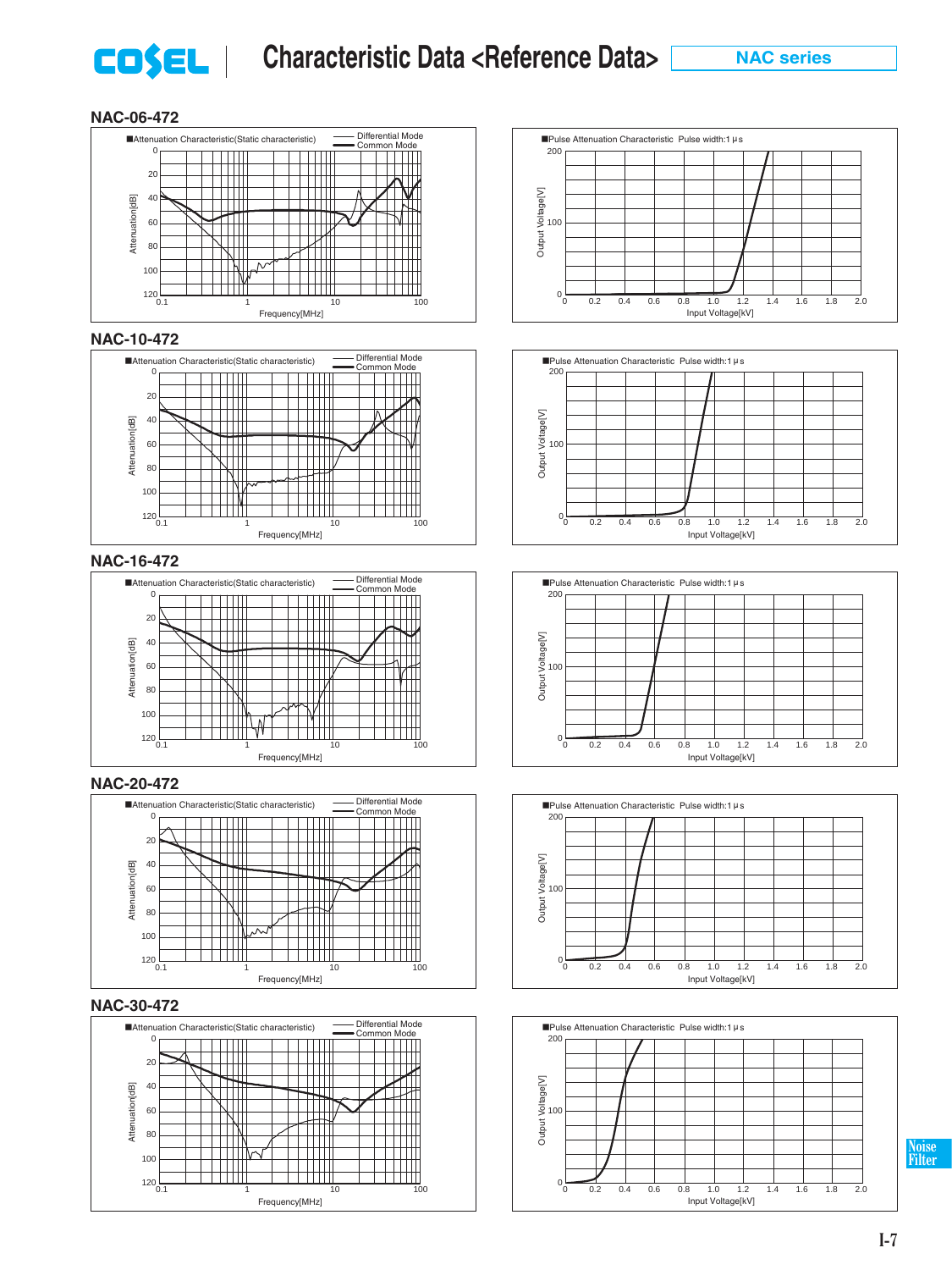

#### **NAC-06-472**













**Noise Filter**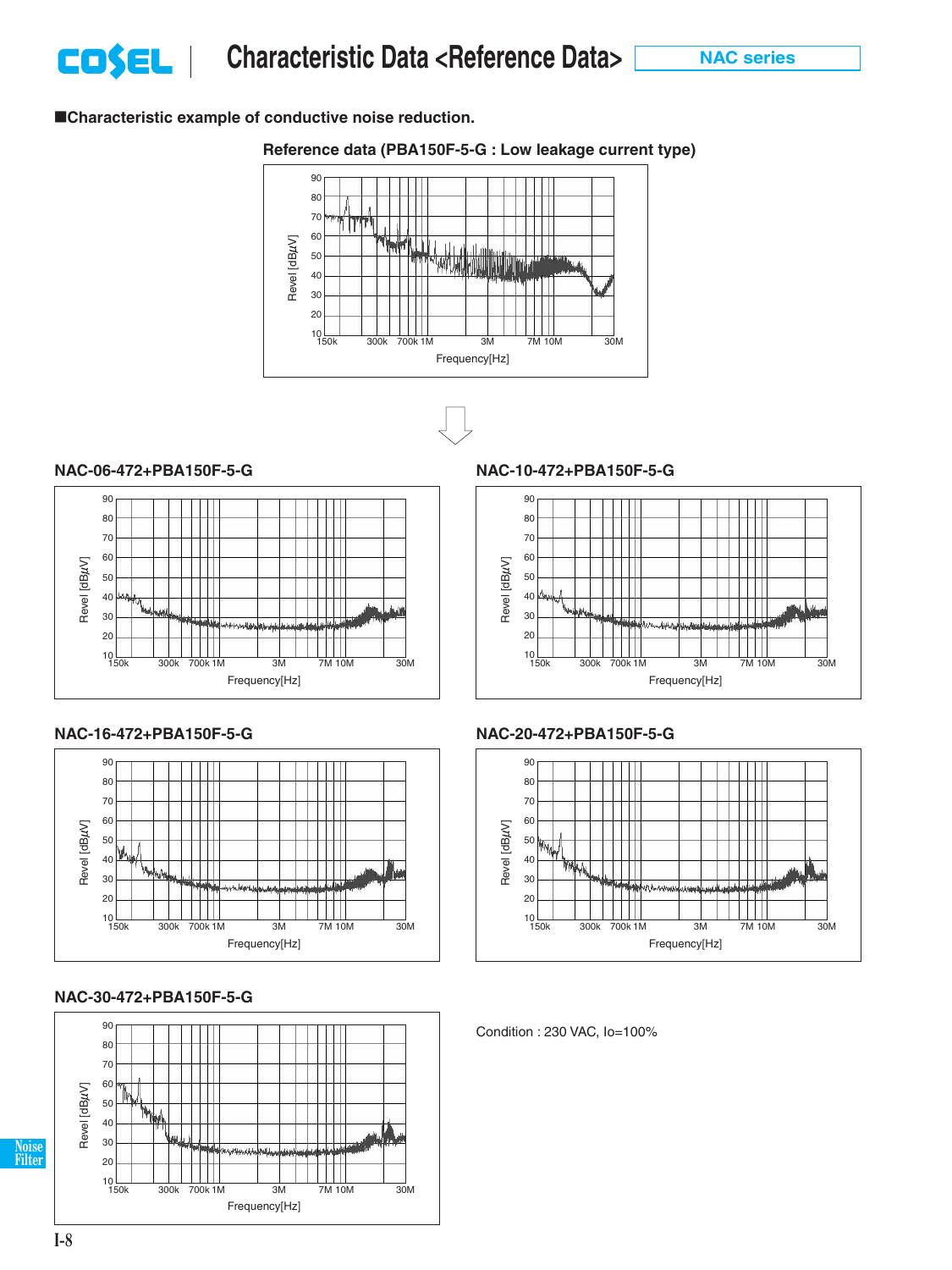■Characteristic example of conductive noise reduction.

### **Reference data (PBA150F-5-G : Low leakage current type)**





#### **NAC-06-472+PBA150F-5-G NAC-10-472+PBA150F-5-G**





### **NAC-30-472+PBA150F-5-G**









Condition : 230 VAC, Io=100%

**Noise Filter**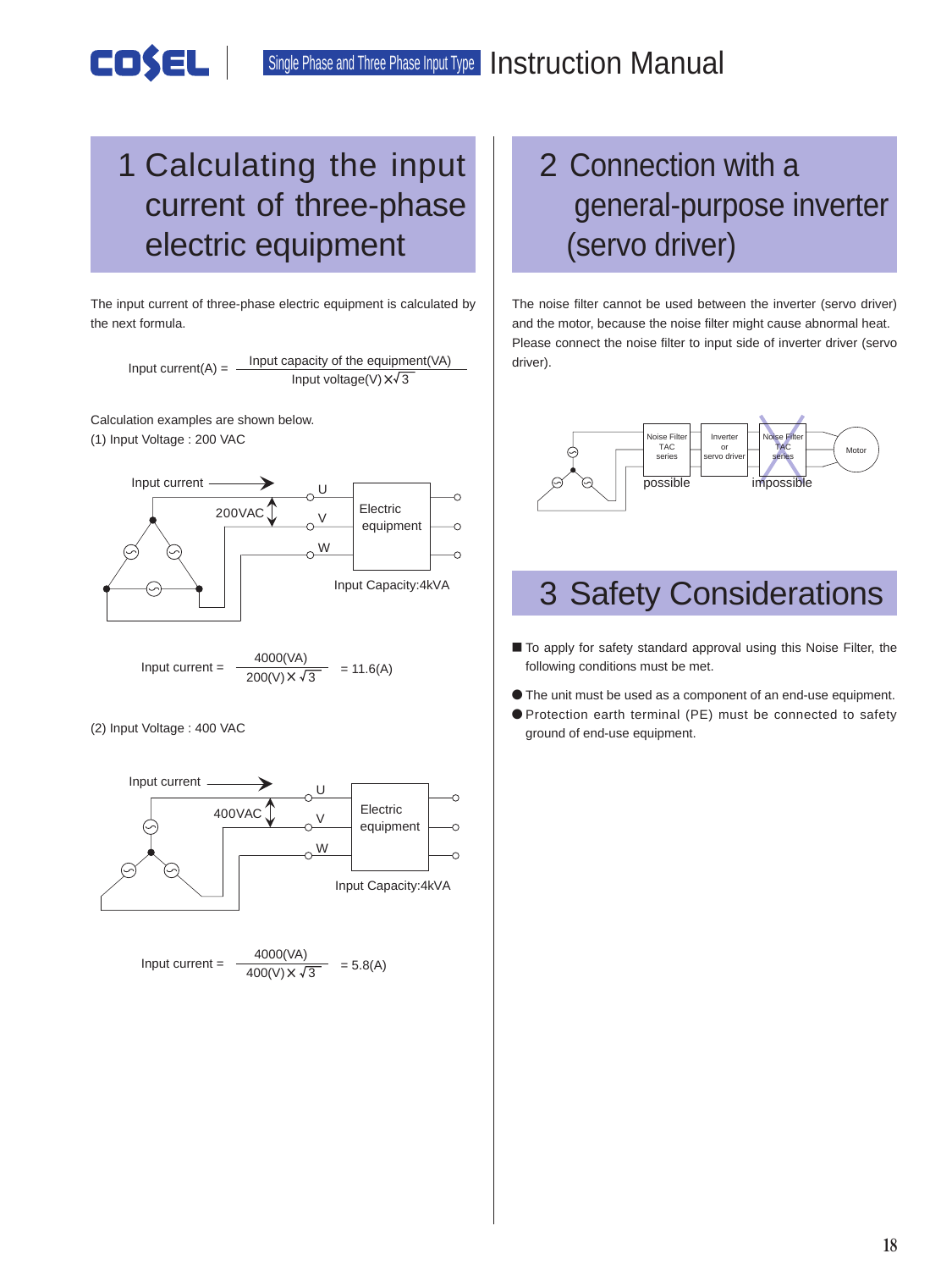Single Phase and Three Phase Input Type **Instruction Manual** 

### 1 Calculating the input current of three-phase electric equipment

The input current of three-phase electric equipment is calculated by the next formula.

Input current(A) =  $\frac{Input capacity of the equipment(VA)}{Output}$ Input voltage(V)  $x\sqrt{3}$ 

Calculation examples are shown below. (1) Input Voltage : 200 VAC

COSEL



Input current = 
$$
\frac{4000(\text{VA})}{200(\text{V}) \times \sqrt{3}} = 11.6(\text{A})
$$

(2) Input Voltage : 400 VAC



## 2 Connection with a general-purpose inverter (servo driver)

The noise filter cannot be used between the inverter (servo driver) and the motor, because the noise filter might cause abnormal heat. Please connect the noise filter to input side of inverter driver (servo driver).



### 3 Safety Considerations

- To apply for safety standard approval using this Noise Filter, the following conditions must be met.
- ¿ The unit must be used as a component of an end-use equipment.
- ¿ Protection earth terminal (PE) must be connected to safety ground of end-use equipment.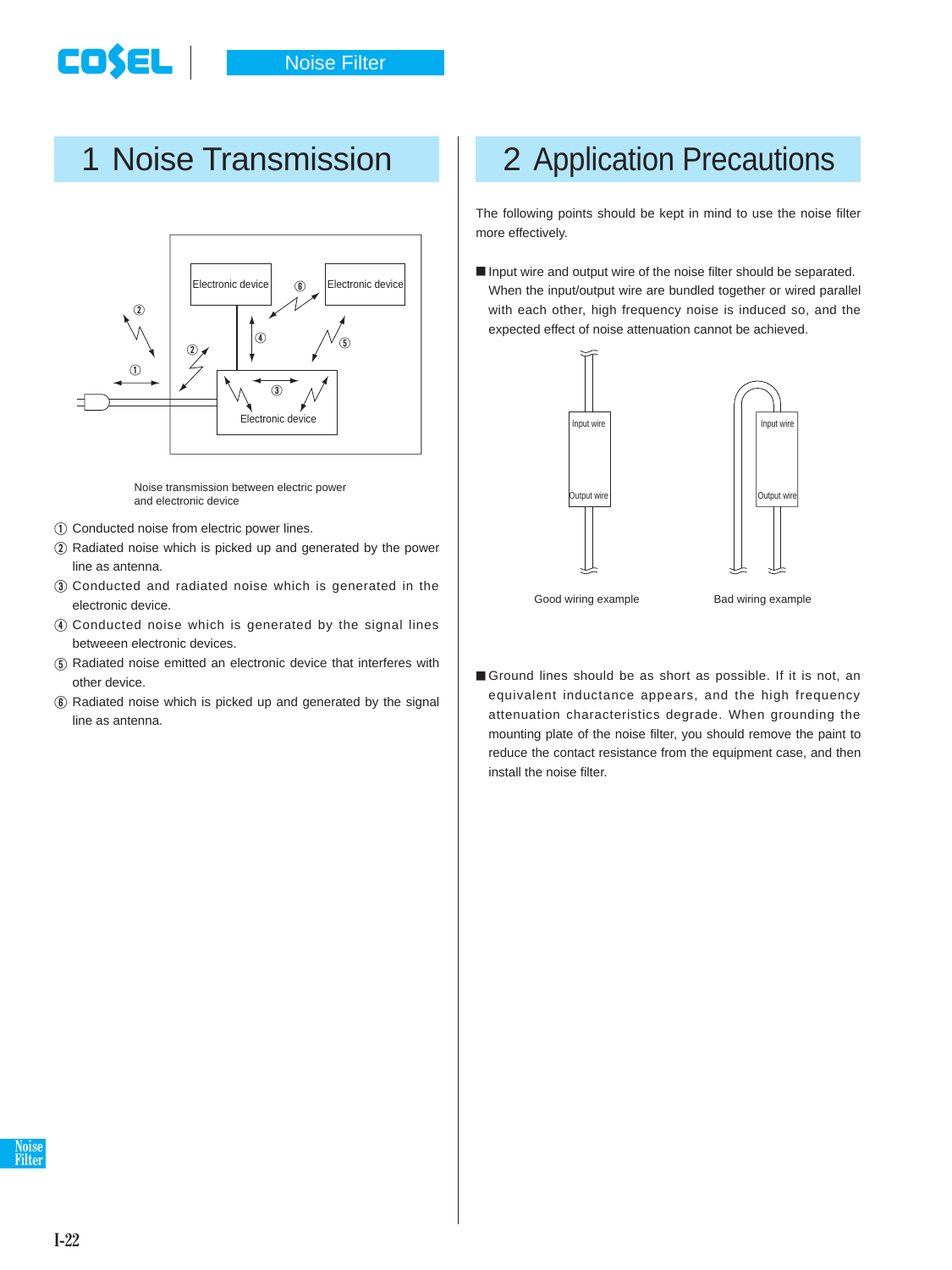



Noise transmission between electric power and electronic device

- 1 Conducted noise from electric power lines.
- 2 Radiated noise which is picked up and generated by the power line as antenna.
- 3 Conducted and radiated noise which is generated in the electronic device.
- 4 Conducted noise which is generated by the signal lines betweeen electronic devices.
- 5 Radiated noise emitted an electronic device that interferes with other device.
- 6 Radiated noise which is picked up and generated by the signal line as antenna.

## 1 Noise Transmission | 2 Application Precautions

The following points should be kept in mind to use the noise filter more effectively.

 $\blacksquare$  Input wire and output wire of the noise filter should be separated. When the input/output wire are bundled together or wired parallel with each other, high frequency noise is induced so, and the expected effect of noise attenuation cannot be achieved.



Good wiring example Bad wiring example

**Ground lines should be as short as possible. If it is not, an** equivalent inductance appears, and the high frequency attenuation characteristics degrade. When grounding the mounting plate of the noise filter, you should remove the paint to reduce the contact resistance from the equipment case, and then install the noise filter.